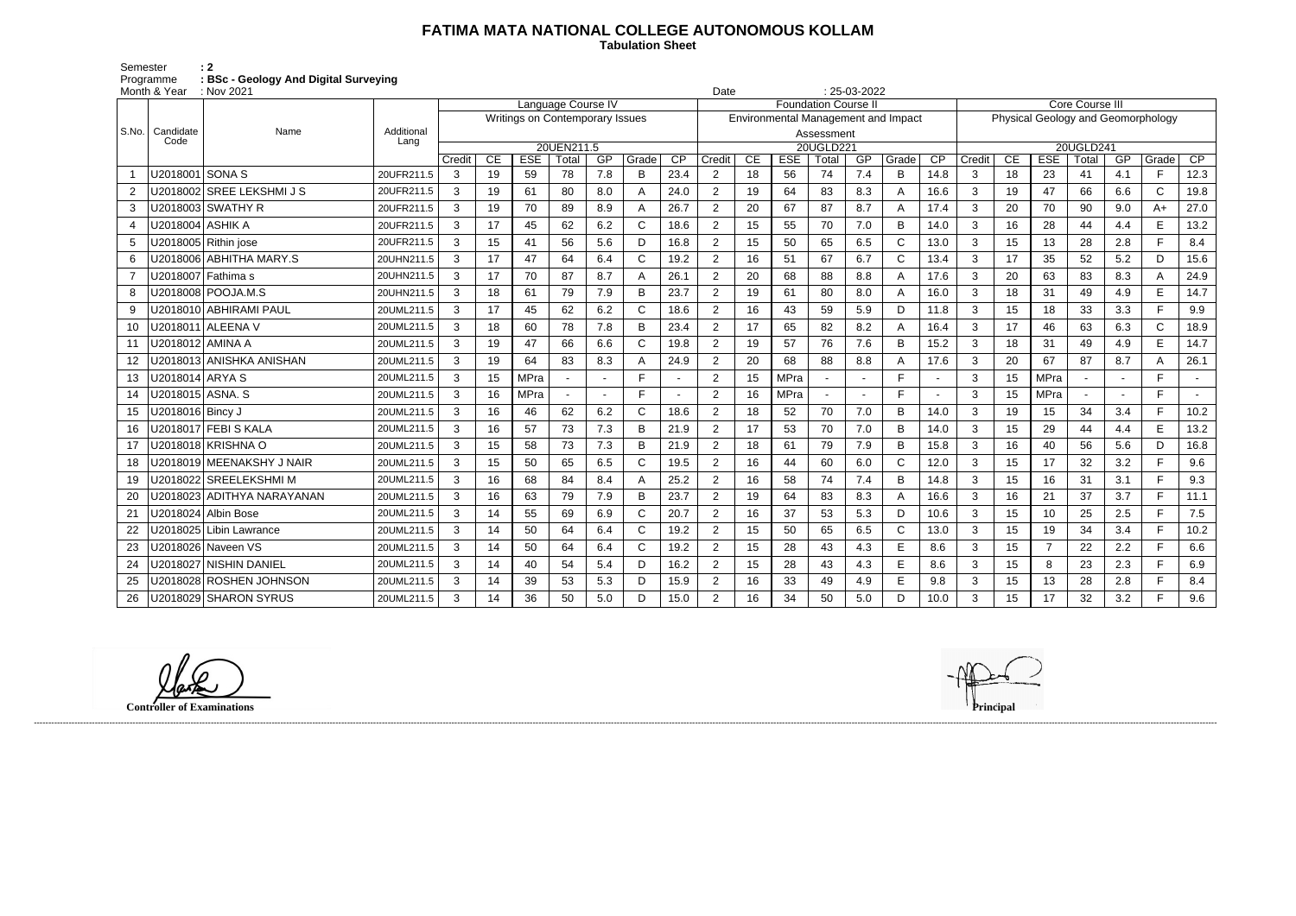## **FATIMA MATA NATIONAL COLLEGE AUTONOMOUS KOLLAM**

 **Tabulation Sheet** 

Semester : 2 Programme **: BSc - Geology And Digital Surveying**

|                       | Month & Year              | : Nov 2021                 |                    |                                 |    |             |            |     |              |                 | 25-03-2022<br>Date          |                                     |            |            |                 |              |                 |                |                 |                                    |           |     |             |        |  |  |
|-----------------------|---------------------------|----------------------------|--------------------|---------------------------------|----|-------------|------------|-----|--------------|-----------------|-----------------------------|-------------------------------------|------------|------------|-----------------|--------------|-----------------|----------------|-----------------|------------------------------------|-----------|-----|-------------|--------|--|--|
|                       |                           |                            |                    | Language Course IV              |    |             |            |     |              |                 | <b>Foundation Course II</b> |                                     |            |            |                 |              |                 |                | Core Course III |                                    |           |     |             |        |  |  |
|                       |                           |                            |                    | Writings on Contemporary Issues |    |             |            |     |              |                 |                             | Environmental Management and Impact |            |            |                 |              |                 |                |                 | Physical Geology and Geomorphology |           |     |             |        |  |  |
|                       | S.No.   Candidate<br>Code | Name                       | Additional<br>Lang |                                 |    |             |            |     |              |                 |                             |                                     |            | Assessment |                 |              |                 |                |                 |                                    |           |     |             |        |  |  |
|                       |                           |                            |                    |                                 |    |             | 20UEN211.5 |     |              |                 |                             |                                     |            | 20UGLD221  |                 |              |                 |                |                 |                                    | 20UGLD241 |     |             |        |  |  |
|                       |                           |                            |                    | Credit                          | CE | <b>ESE</b>  | Total      | GP  | Grade        | $\overline{CP}$ | Credit                      | CE                                  | <b>ESE</b> | Total      | $\overline{GP}$ | Grade        | $\overline{CP}$ | Credit         | CE              | <b>ESE</b>                         | Total     | GP  | Grade       | CP     |  |  |
|                       | U2018001                  | <b>SONAS</b>               | 20UFR211.5         | 3                               | 19 | 59          | 78         | 7.8 | B            | 23.4            | $\overline{2}$              | 18                                  | 56         | 74         | 7.4             | $\, {\bf B}$ | 14.8            | 3              | 18              | 23                                 | 41        | 4.1 | F.          | 12.3   |  |  |
|                       |                           | U2018002 SREE LEKSHMI J S  | 20UFR211.5         | 3                               | 19 | 61          | 80         | 8.0 | А            | 24.0            | $\overline{2}$              | 19                                  | 64         | 83         | 8.3             | A            | 16.6            | $\mathbf{3}$   | 19              | 47                                 | 66        | 6.6 | $\mathsf C$ | 19.8   |  |  |
| 3                     |                           | U2018003 SWATHY R          | 20UFR211.5         | 3                               | 19 | 70          | 89         | 8.9 | A            | 26.7            | $\overline{2}$              | 20                                  | 67         | 87         | 8.7             | A            | 17.4            | 3              | 20              | 70                                 | 90        | 9.0 | $A+$        | 27.0   |  |  |
| $\boldsymbol{\Delta}$ | U2018004 ASHIK A          |                            | 20UFR211.5         | 3                               | 17 | 45          | 62         | 6.2 | $\mathsf{C}$ | 18.6            | $\overline{2}$              | 15                                  | 55         | 70         | 7.0             | B            | 14.0            | $\mathfrak{B}$ | 16              | 28                                 | 44        | 4.4 | E           | 13.2   |  |  |
| 5                     |                           | J2018005 Rithin jose       | 20UFR211.5         | 3                               | 15 | 41          | 56         | 5.6 | D            | 16.8            | $\overline{2}$              | 15                                  | 50         | 65         | 6.5             | $\mathsf{C}$ | 13.0            | 3              | 15              | 13                                 | 28        | 2.8 | F.          | 8.4    |  |  |
| 6                     |                           | J2018006 ABHITHA MARY.S    | 20UHN211.5         | 3                               | 17 | 47          | 64         | 6.4 | $\mathsf{C}$ | 19.2            | $\overline{2}$              | 16                                  | 51         | 67         | 6.7             | $\mathsf{C}$ | 13.4            | 3              | 17              | 35                                 | 52        | 5.2 | D           | 15.6   |  |  |
|                       |                           | J2018007 Fathima s         | 20UHN211.5         | 3                               | 17 | 70          | 87         | 8.7 | А            | 26.1            | $\overline{2}$              | 20                                  | 68         | 88         | 8.8             | A            | 17.6            | 3              | 20              | 63                                 | 83        | 8.3 | A           | 24.9   |  |  |
| 8                     |                           | U2018008 POOJA.M.S         | 20UHN211.5         | 3                               | 18 | 61          | 79         | 7.9 | B            | 23.7            | $\overline{2}$              | 19                                  | 61         | 80         | 8.0             | A            | 16.0            | 3              | 18              | 31                                 | 49        | 4.9 | E           | 14.7   |  |  |
| 9                     |                           | J2018010 ABHIRAMI PAUL     | 20UML211.5         | 3                               | 17 | 45          | 62         | 6.2 | C            | 18.6            | $\overline{2}$              | 16                                  | 43         | 59         | 5.9             | D            | 11.8            | 3              | 15              | 18                                 | 33        | 3.3 | Е           | 9.9    |  |  |
| 10                    | J2018011                  | <b>ALEENA V</b>            | 20UML211.5         | 3                               | 18 | 60          | 78         | 7.8 | B            | 23.4            | $\overline{2}$              | 17                                  | 65         | 82         | 8.2             | A            | 16.4            | 3              | 17              | 46                                 | 63        | 6.3 | C           | 18.9   |  |  |
| 11                    | U2018012 AMINA A          |                            | 20UML211.5         | 3                               | 19 | 47          | 66         | 6.6 | C            | 19.8            | $\overline{2}$              | 19                                  | 57         | 76         | 7.6             | B            | 15.2            | 3              | 18              | 31                                 | 49        | 4.9 | E           | 14.7   |  |  |
| 12                    |                           | J2018013 ANISHKA ANISHAN   | 20UML211.5         | 3                               | 19 | 64          | 83         | 8.3 | А            | 24.9            | $\overline{2}$              | 20                                  | 68         | 88         | 8.8             | A            | 17.6            | 3              | 20              | 67                                 | 87        | 8.7 | A           | 26.1   |  |  |
| 13                    | U2018014 ARYA S           |                            | 20UML211.5         | 3                               | 15 | MPra        |            |     | Е            |                 | $\overline{2}$              | 15                                  | MPra       |            |                 | E            |                 | 3              | 15              | <b>MPra</b>                        |           |     | F.          |        |  |  |
| 14                    | J2018015   ASNA. S        |                            | 20UML211.5         | 3                               | 16 | <b>MPra</b> |            |     | Е            |                 | $\mathbf{2}$                | 16                                  | MPra       | $\sim$     |                 | E            |                 | 3              | 15              | <b>MPra</b>                        |           |     | F.          | $\sim$ |  |  |
| 15                    | J2018016 Bincy J          |                            | 20UML211.5         | 3                               | 16 | 46          | 62         | 6.2 | $\mathsf{C}$ | 18.6            | $\overline{2}$              | 18                                  | 52         | 70         | 7.0             | B            | 14.0            | 3              | 19              | 15                                 | 34        | 3.4 | F.          | 10.2   |  |  |
| 16                    |                           | J2018017 FEBI S KALA       | 20UML211.5         | 3                               | 16 | 57          | 73         | 7.3 | B            | 21.9            | $\overline{2}$              | 17                                  | 53         | 70         | 7.0             | B            | 14.0            | 3              | 15              | 29                                 | 44        | 4.4 | E           | 13.2   |  |  |
| 17                    |                           | J2018018 KRISHNA O         | 20UML211.5         | 3                               | 15 | 58          | 73         | 7.3 | R            | 21.9            | $\overline{2}$              | 18                                  | 61         | 79         | 7.9             | B            | 15.8            | 3              | 16              | 40                                 | 56        | 5.6 | D           | 16.8   |  |  |
| 18                    |                           | J2018019 MEENAKSHY J NAIR  | 20UML211.5         | 3                               | 15 | 50          | 65         | 6.5 | C            | 19.5            | $\overline{2}$              | 16                                  | 44         | 60         | 6.0             | $\mathsf{C}$ | 12.0            | 3              | 15              | 17                                 | 32        | 3.2 | F.          | 9.6    |  |  |
| 19                    |                           | J2018022 SREELEKSHMI M     | 20UML211.5         | 3                               | 16 | 68          | 84         | 8.4 | A            | 25.2            | $\overline{2}$              | 16                                  | 58         | 74         | 7.4             | B            | 14.8            | 3              | 15              | 16                                 | 31        | 3.1 | F.          | 9.3    |  |  |
| 20                    |                           | J2018023 ADITHYA NARAYANAN | 20UML211.5         | 3                               | 16 | 63          | 79         | 7.9 | B            | 23.7            | $\overline{2}$              | 19                                  | 64         | 83         | 8.3             | A            | 16.6            | 3              | 16              | 21                                 | 37        | 3.7 | F.          | 11.1   |  |  |
| 21                    | J2018024                  | <b>Albin Bose</b>          | 20UML211.5         | 3                               | 14 | 55          | 69         | 6.9 | C            | 20.7            | $\overline{2}$              | 16                                  | 37         | 53         | 5.3             | D            | 10.6            | 3              | 15              | 10                                 | 25        | 2.5 | F.          | 7.5    |  |  |
| 22                    |                           | J2018025 Libin Lawrance    | 20UML211.5         | 3                               | 14 | 50          | 64         | 6.4 | C            | 19.2            | $\overline{2}$              | 15                                  | 50         | 65         | 6.5             | $\mathsf C$  | 13.0            | $\mathfrak{Z}$ | 15              | 19                                 | 34        | 3.4 | F.          | 10.2   |  |  |
| 23                    |                           | U2018026 Naveen VS         | 20UML211.5         | 3                               | 14 | 50          | 64         | 6.4 | C            | 19.2            | $\overline{2}$              | 15                                  | 28         | 43         | 4.3             | E            | 8.6             | 3              | 15              | $\overline{7}$                     | 22        | 2.2 | F.          | 6.6    |  |  |
| 24                    |                           | J2018027   NISHIN DANIEL   | 20UML211.5         | 3                               | 14 | 40          | 54         | 5.4 | D            | 16.2            | $\overline{2}$              | 15                                  | 28         | 43         | 4.3             | E            | 8.6             | 3              | 15              | 8                                  | 23        | 2.3 | F.          | 6.9    |  |  |
| 25                    |                           | J2018028 ROSHEN JOHNSON    | 20UML211.5         | 3                               | 14 | 39          | 53         | 5.3 | D            | 15.9            | $\overline{2}$              | 16                                  | 33         | 49         | 4.9             | E            | 9.8             | 3              | 15              | 13                                 | 28        | 2.8 | F.          | 8.4    |  |  |
| 26                    |                           | U2018029 SHARON SYRUS      | 20UML211.5         | 3                               | 14 | 36          | 50         | 5.0 | D            | 15.0            | $\overline{2}$              | 16                                  | 34         | 50         | 5.0             | D            | 10.0            | 3              | 15              | 17                                 | 32        | 3.2 | F.          | 9.6    |  |  |

**Controller of Examinations Principal**

------------------------------------------------------------------------------------------------------------------------------------------------------------------------------------------------------------------------------------------------------------------------------------------------------------------------------------------------------------------------------------------------------------------------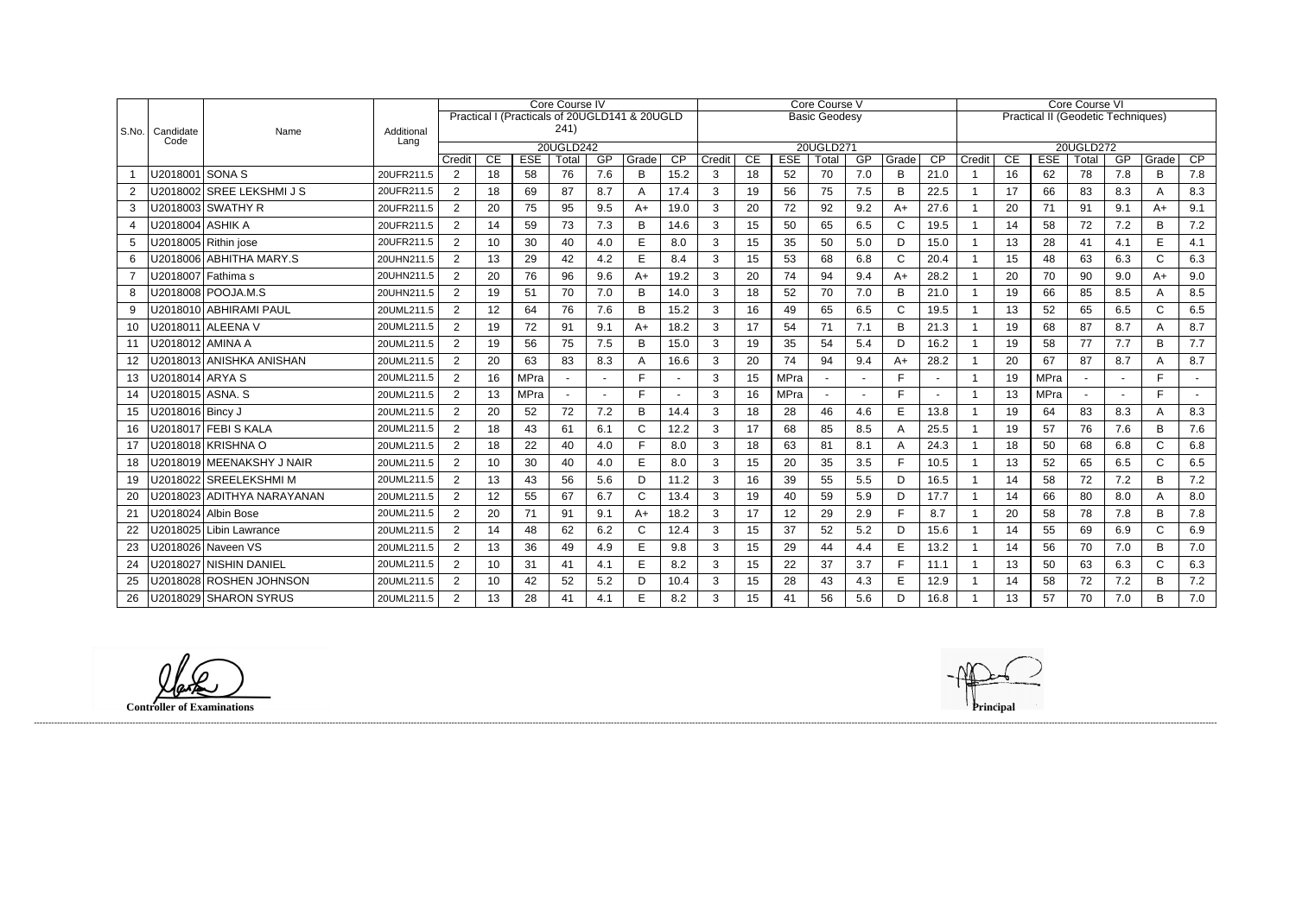|                |                    |                            |            | Core Course IV |     |                                               |       |        |       |      | Core Course V        |           |            |       |     |              |                 | <b>Core Course VI</b>                     |    |             |       |     |              |        |  |  |
|----------------|--------------------|----------------------------|------------|----------------|-----|-----------------------------------------------|-------|--------|-------|------|----------------------|-----------|------------|-------|-----|--------------|-----------------|-------------------------------------------|----|-------------|-------|-----|--------------|--------|--|--|
|                |                    |                            |            |                |     | Practical I (Practicals of 20UGLD141 & 20UGLD |       |        |       |      | <b>Basic Geodesy</b> |           |            |       |     |              |                 | <b>Practical II (Geodetic Techniques)</b> |    |             |       |     |              |        |  |  |
| S.No.          | Candidate<br>Code  | Name                       | Additional |                |     |                                               | 241)  |        |       |      |                      |           |            |       |     |              |                 |                                           |    |             |       |     |              |        |  |  |
|                |                    |                            | Lang       | 20UGLD242      |     |                                               |       |        |       |      |                      | 20UGLD271 |            |       |     |              |                 |                                           |    | 20UGLD272   |       |     |              |        |  |  |
|                |                    |                            |            | Credit         | CE. | <b>ESE</b>                                    | Total | GP     | Grade | CP   | Credit               | CE        | <b>ESE</b> | Total | GP  | Grade        | $\overline{CP}$ | Credit                                    | CE | <b>ESE</b>  | Total | GP  | Grade        | CP     |  |  |
|                | U2018001 SONA S    |                            | 20UFR211.5 | 2              | 18  | 58                                            | 76    | 7.6    | B     | 15.2 | 3                    | 18        | 52         | 70    | 7.0 | B            | 21.0            |                                           | 16 | 62          | 78    | 7.8 | B            | 7.8    |  |  |
| $\overline{2}$ |                    | U2018002 SREE LEKSHMI J S  | 20UFR211.5 | 2              | 18  | 69                                            | 87    | 8.7    | A     | 17.4 | 3                    | 19        | 56         | 75    | 7.5 | B            | 22.5            | $\overline{1}$                            | 17 | 66          | 83    | 8.3 | A            | 8.3    |  |  |
| 3              |                    | U2018003 SWATHY R          | 20UFR211.5 | $\overline{2}$ | 20  | 75                                            | 95    | 9.5    | $A+$  | 19.0 | 3                    | 20        | 72         | 92    | 9.2 | $A+$         | 27.6            |                                           | 20 | 71          | 91    | 9.1 | A+           | 9.1    |  |  |
| 4              | U2018004   ASHIK A |                            | 20UFR211.5 | 2              | 14  | 59                                            | 73    | 7.3    | B     | 14.6 | 3                    | 15        | 50         | 65    | 6.5 | $\mathsf{C}$ | 19.5            | $\overline{1}$                            | 14 | 58          | 72    | 7.2 | B            | 7.2    |  |  |
| 5              |                    | U2018005 Rithin jose       | 20UFR211.5 | 2              | 10  | 30                                            | 40    | 4.0    | E     | 8.0  | 3                    | 15        | 35         | 50    | 5.0 | D            | 15.0            | $\overline{1}$                            | 13 | 28          | 41    | 4.1 | E            | 4.1    |  |  |
| 6              |                    | U2018006 ABHITHA MARY.S    | 20UHN211.5 | 2              | 13  | 29                                            | 42    | 4.2    | E     | 8.4  | 3                    | 15        | 53         | 68    | 6.8 | $\mathsf C$  | 20.4            | -1                                        | 15 | 48          | 63    | 6.3 | $\mathsf{C}$ | 6.3    |  |  |
| $\overline{7}$ |                    | U2018007 Fathima s         | 20UHN211.5 | 2              | 20  | 76                                            | 96    | 9.6    | $A+$  | 19.2 | 3                    | 20        | 74         | 94    | 9.4 | $A+$         | 28.2            | -1                                        | 20 | 70          | 90    | 9.0 | $A+$         | 9.0    |  |  |
| 8              |                    | U2018008 POOJA.M.S         | 20UHN211.5 | 2              | 19  | 51                                            | 70    | 7.0    | B     | 14.0 | 3                    | 18        | 52         | 70    | 7.0 | B            | 21.0            | $\overline{1}$                            | 19 | 66          | 85    | 8.5 | A            | 8.5    |  |  |
| 9              |                    | U2018010 ABHIRAMI PAUL     | 20UML211.5 | $\overline{2}$ | 12  | 64                                            | 76    | 7.6    | B     | 15.2 | 3                    | 16        | 49         | 65    | 6.5 | $\mathsf{C}$ | 19.5            | -1                                        | 13 | 52          | 65    | 6.5 | $\mathsf{C}$ | 6.5    |  |  |
| 10             |                    | U2018011 ALEENA V          | 20UML211.5 | 2              | 19  | 72                                            | 91    | 9.1    | $A+$  | 18.2 | 3                    | 17        | 54         | 71    | 7.1 | B            | 21.3            | $\overline{\mathbf{1}}$                   | 19 | 68          | 87    | 8.7 | A            | 8.7    |  |  |
| 11             | U2018012  AMINA A  |                            | 20UML211.5 | $\overline{2}$ | 19  | 56                                            | 75    | 7.5    | B     | 15.0 | 3                    | 19        | 35         | 54    | 5.4 | D            | 16.2            |                                           | 19 | 58          | 77    | 7.7 | B            | 7.7    |  |  |
| 12             |                    | U2018013 ANISHKA ANISHAN   | 20UML211.5 | $\overline{2}$ | 20  | 63                                            | 83    | 8.3    |       | 16.6 | 3                    | 20        | 74         | 94    | 9.4 | $A+$         | 28.2            | $\overline{\mathbf{1}}$                   | 20 | 67          | 87    | 8.7 | A            | 8.7    |  |  |
| 13             | U2018014 ARYA S    |                            | 20UML211.5 | 2              | 16  | MPra                                          |       | $\sim$ | Е     |      | 3                    | 15        | MPra       |       |     | F            |                 | -1                                        | 19 | <b>MPra</b> |       |     | F.           | $\sim$ |  |  |
| 14             | U2018015 ASNA. S   |                            | 20UML211.5 | $\overline{2}$ | 13  | MPra                                          |       |        | Е     |      | 3                    | 16        | MPra       |       |     | E            |                 | -1                                        | 13 | <b>MPra</b> |       |     | E.           |        |  |  |
| 15             | U2018016 Bincy J   |                            | 20UML211.5 | 2              | 20  | 52                                            | 72    | 7.2    | B     | 14.4 | 3                    | 18        | 28         | 46    | 4.6 | E            | 13.8            |                                           | 19 | 64          | 83    | 8.3 | A            | 8.3    |  |  |
| 16             |                    | U2018017 FEBI S KALA       | 20UML211.5 | 2              | 18  | 43                                            | 61    | 6.1    | C     | 12.2 | 3                    | 17        | 68         | 85    | 8.5 | A            | 25.5            | -1                                        | 19 | 57          | 76    | 7.6 | B            | 7.6    |  |  |
| 17             |                    | U2018018  KRISHNA O        | 20UML211.5 | $\overline{2}$ | 18  | 22                                            | 40    | 4.0    | Е     | 8.0  | 3                    | 18        | 63         | 81    | 8.1 | A            | 24.3            | -1                                        | 18 | 50          | 68    | 6.8 | $\mathsf{C}$ | 6.8    |  |  |
| 18             |                    | U2018019 MEENAKSHY J NAIR  | 20UML211.5 | $\overline{2}$ | 10  | 30                                            | 40    | 4.0    | E     | 8.0  | 3                    | 15        | 20         | 35    | 3.5 | F            | 10.5            | -1                                        | 13 | 52          | 65    | 6.5 | $\mathsf{C}$ | 6.5    |  |  |
| 19             |                    | U2018022 SREELEKSHMI M     | 20UML211.5 | $\overline{2}$ | 13  | 43                                            | 56    | 5.6    | D     | 11.2 | 3                    | 16        | 39         | 55    | 5.5 | D            | 16.5            |                                           | 14 | 58          | 72    | 7.2 | B            | 7.2    |  |  |
| 20             |                    | U2018023 ADITHYA NARAYANAN | 20UML211.5 | $\overline{2}$ | 12  | 55                                            | 67    | 6.7    | C     | 13.4 | 3                    | 19        | 40         | 59    | 5.9 | D            | 17.7            | $\overline{1}$                            | 14 | 66          | 80    | 8.0 | A            | 8.0    |  |  |
| 21             |                    | U2018024 Albin Bose        | 20UML211.5 | $\overline{2}$ | 20  | 71                                            | 91    | 9.1    | $A+$  | 18.2 | 3                    | 17        | 12         | 29    | 2.9 | F            | 8.7             |                                           | 20 | 58          | 78    | 7.8 | B            | 7.8    |  |  |
| 22             |                    | U2018025 Libin Lawrance    | 20UML211.5 | $\overline{2}$ | 14  | 48                                            | 62    | 6.2    | C     | 12.4 | 3                    | 15        | 37         | 52    | 5.2 | D            | 15.6            | -1                                        | 14 | 55          | 69    | 6.9 | $\mathsf{C}$ | 6.9    |  |  |
| 23             |                    | U2018026 Naveen VS         | 20UML211.5 | $\overline{2}$ | 13  | 36                                            | 49    | 4.9    | E     | 9.8  | 3                    | 15        | 29         | 44    | 4.4 | E            | 13.2            |                                           | 14 | 56          | 70    | 7.0 | B            | 7.0    |  |  |
| 24             |                    | U2018027 NISHIN DANIEL     | 20UML211.5 | $\overline{2}$ | 10  | 31                                            | 41    | 4.1    | E     | 8.2  | 3                    | 15        | 22         | 37    | 3.7 | F            | 11.1            | $\overline{1}$                            | 13 | 50          | 63    | 6.3 | $\mathsf{C}$ | 6.3    |  |  |
| 25             |                    | U2018028 ROSHEN JOHNSON    | 20UML211.5 | $\overline{2}$ | 10  | 42                                            | 52    | 5.2    | D     | 10.4 | 3                    | 15        | 28         | 43    | 4.3 | E            | 12.9            |                                           | 14 | 58          | 72    | 7.2 | B            | 7.2    |  |  |
| 26             |                    | U2018029 SHARON SYRUS      | 20UML211.5 | $\overline{2}$ | 13  | 28                                            | 41    | 4.1    | E     | 8.2  | 3                    | 15        | 41         | 56    | 5.6 | D            | 16.8            |                                           | 13 | 57          | 70    | 7.0 | B            | 7.0    |  |  |

**Controller of Examinations Principal**

------------------------------------------------------------------------------------------------------------------------------------------------------------------------------------------------------------------------------------------------------------------------------------------------------------------------------------------------------------------------------------------------------------------------